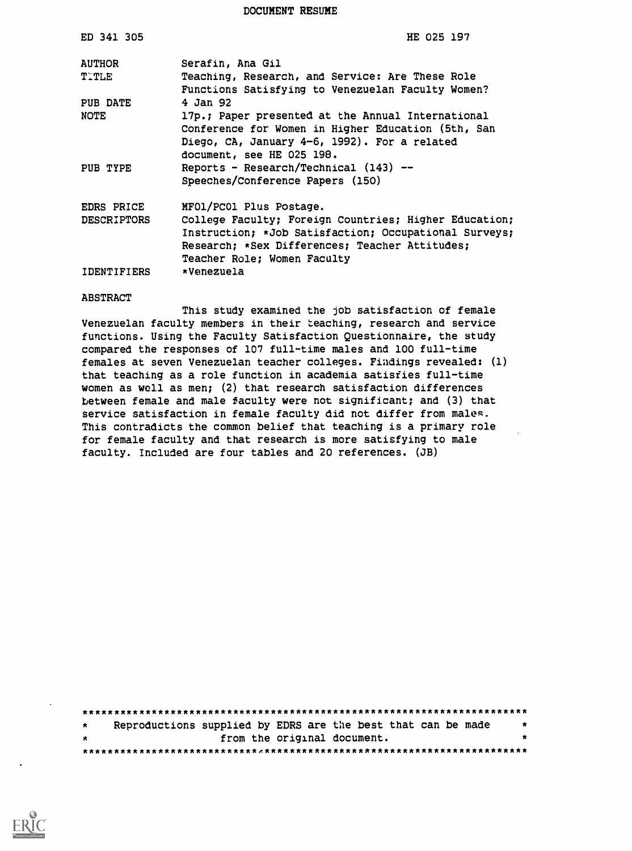DOCUMENT RESUME

| ED 341 305         | HE 025 197                                            |
|--------------------|-------------------------------------------------------|
| <b>AUTHOR</b>      | Serafin, Ana Gil                                      |
| TITLE              | Teaching, Research, and Service: Are These Role       |
|                    | Functions Satisfying to Venezuelan Faculty Women?     |
| <b>PUB DATE</b>    | 4 Jan 92                                              |
| NOTE               | 17p.; Paper presented at the Annual International     |
|                    | Conference for Women in Higher Education (5th, San    |
|                    | Diego, CA, January 4-6, 1992). For a related          |
|                    | document, see HE 025 198.                             |
| PUB TYPE           | Reports - Research/Technical $(143)$ --               |
|                    | Speeches/Conference Papers (150)                      |
| EDRS PRICE         | MFO1/PCO1 Plus Postage.                               |
| <b>DESCRIPTORS</b> | College Faculty; Foreign Countries; Higher Education; |
|                    | Instruction; *Job Satisfaction; Occupational Surveys; |
|                    | Research; *Sex Differences; Teacher Attitudes;        |
|                    | Teacher Role; Women Faculty                           |
| <b>IDENTIFIERS</b> | *Venezuela                                            |

#### ABSTRACT

This study examined the job satisfaction of female Venezuelan faculty members in their teaching, research and service functions. Using the Faculty Satisfaction Questionnaire, the study compared the responses of 107 full-time males and 100 full-time females at seven Venezuelan teacher colleges. Findings revealed: (1) that teaching as a role function in academia satisfies full-time women as well as men; (2) that research satisfaction differences between female and male faculty were not significant; and (3) that service satisfaction in female faculty did not differ from males. This contradicts the common belief that teaching is a primary role for female faculty and that research is more satisfying to male faculty. Included are four tables and 20 references. (JB)

| $\star$ |                             | Reproductions supplied by EDRS are the best that can be made | $\boldsymbol{\ast}$ |
|---------|-----------------------------|--------------------------------------------------------------|---------------------|
| $\star$ | from the original document. |                                                              |                     |
|         |                             |                                                              |                     |

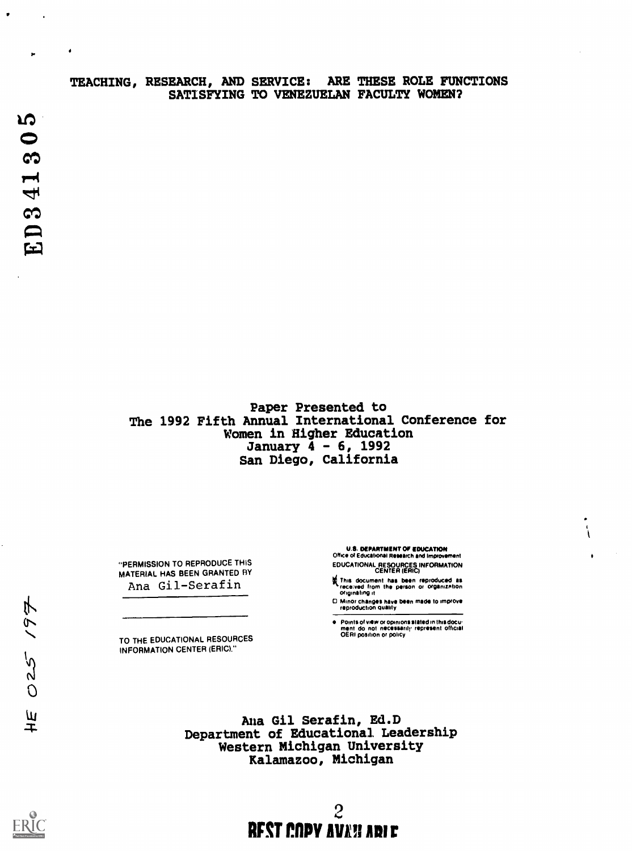# TEACHING, RESEARCH, AND SERVICE: ARE THESE ROLE FUNCTIONS SATISFYING TO VENEZUELAN FACULTY WOMEN?

Paper Presented to The 1992 Fifth Annual International Conference for Women in Higher Education January 4 - 6, 1992 San Diego, California

"PERMISSION TO REPRODUCE THIS MATERIAL HAS BEEN GRANTED HY

TO THE EDUCATIONAL RESOURCES INFORMATION CENTER (ERIC)."

U.S. DEPARTMENT OF EDUCATION

Office of Educational Research and Improvement EDUCATIONAL RESOURCES INFORMATION<br>CENTER (ERIC)  $\overline{ }$ 

- Ana Gil-Serafin **(This document has been reproduced as in the Server)**<br>Ana Gil-Serafin
	- 0 Minor Changes have been made to improve reproduction quality

e Points of view or opinions stated in this docu.<br>ment do not necessarily represent official<br>OERI position or policy represent official

Ana Gil Serafin, Ed.D Department of Educational Leadership Western Michigan University Kalamazoo, Michigan

 $H\tilde{E}$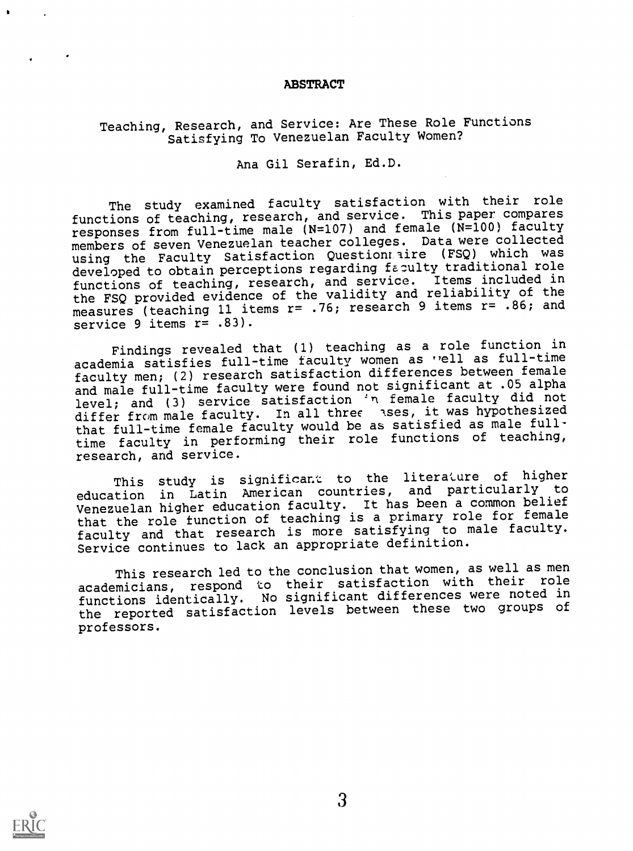## ABSTRACT

# Teaching, Research, and Service: Are These Role Functions Satisfying To Venezuelan Faculty Women?

Ana Gil Serafin, Ed.D.

The study examined faculty satisfaction with their role functions of teaching, research, and service. This paper compares responses from full-time male (N=107) and female (N=100) faculty members of seven Venezuelan teacher colleges. Data were collected using the Faculty Satisfaction Question aire (FSQ) which was developed to obtain perceptions regarding faculty traditional role functions of teaching, research, and service. Items included in the FSQ provided evidence of the validity and reliability of the measures (teaching 11 items r= .76; research 9 items r= .86; and service  $9$  items  $r = .83$ ).

Findings revealed that (1) teaching as a role function in academia satisfies full-time faculty women as vell as full-time faculty men; (2) research satisfaction differences between female and male full-time faculty were found not significant at .05 alpha level; and (3) service satisfaction 'n female faculty did not differ from male faculty. In all three sses, it was hypothesized that full-time female faculty would be as satisfied as male fulltime faculty in performing their role functions of teaching, research, and service.

This study is significant to the literature of higher education in Latin American countries, and particularly to Venezuelan higher education faculty. It has been a common belief that the role function of teaching is a primary role for female faculty and that research is more satisfying to male faculty. Service continues to lack an appropriate definition.

This research led to the conclusion that women, as well as men academicians, respond to their satisfaction with their role functions identically. No significant differences were noted in the reported satisfaction levels between these two groups of professors.

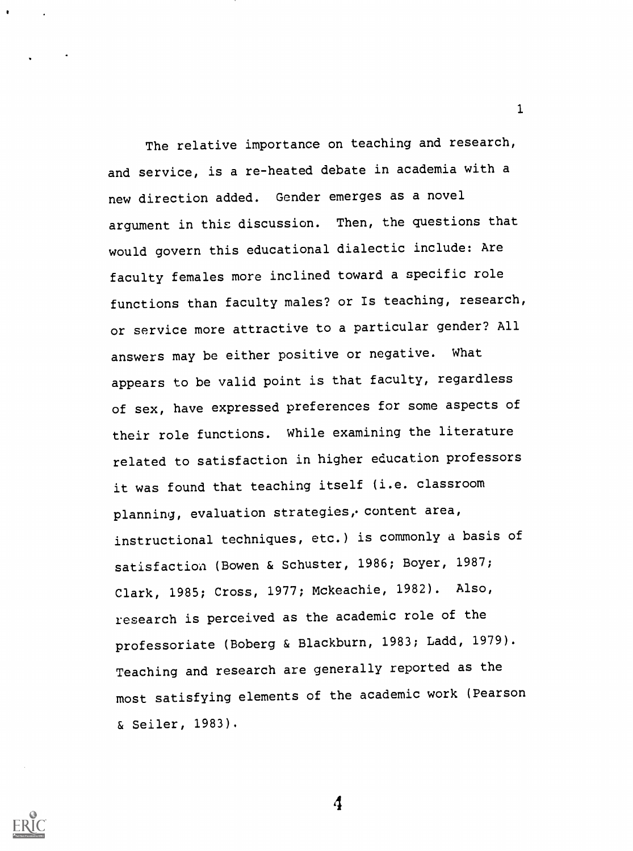The relative importance on teaching and research, and service, is a re-heated debate in academia with a new direction added. Gender emerges as a novel argument in this discussion. Then, the questions that would govern this educational dialectic include: Are faculty females more inclined toward a specific role functions than faculty males? or Is teaching, research, or service more attractive to a particular gender? All answers may be either positive or negative. What appears to be valid point is that faculty, regardless of sex, have expressed preferences for some aspects of their role functions. While examining the literature related to satisfaction in higher education professors it was found that teaching itself (i.e. classroom planning, evaluation strategies, content area, instructional techniques, etc.) is commonly a basis of satisfaction (Bowen & Schuster, 1986; Boyer, 1987; Clark, 1985; Cross, 1977; Mckeachie, 1982). Also, research is perceived as the academic role of the professoriate (Boberg & Blackburn, 1983; Ladd, 1979). Teaching and research are generally reported as the most satisfying elements of the academic work (Pearson & Seiler, 1983).

1

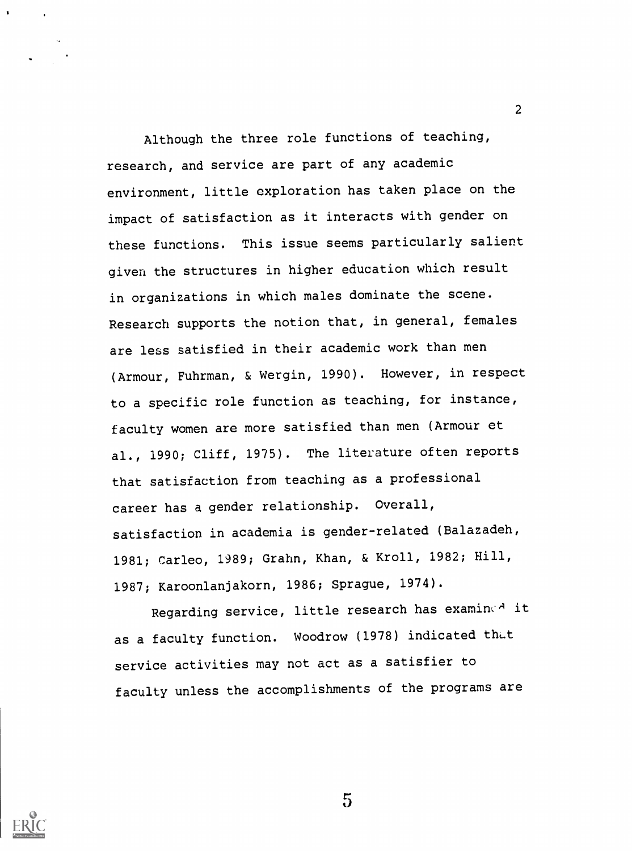Although the three role functions of teaching, research, and service are part of any academic environment, little exploration has taken place on the impact of satisfaction as it interacts with gender on these functions. This issue seems particularly salient given the structures in higher education which result in organizations in which males dominate the scene. Research supports the notion that, in general, females are less satisfied in their academic work than men (Armour, Fuhrman, & Wergin, 1990). However, in respect to a specific role function as teaching, for instance, faculty women are more satisfied than men (Armour et al., 1990; Cliff, 1975). The literature often reports that satisfaction from teaching as a professional career has a gender relationship. Overall, satisfaction in academia is gender-related (Balazadeh, 1981; Carleo, 1989; Grahn, Khan, & Kroll, 1982; Hill, 1987; Karoonlanjakorn, 1986; Sprague, 1974).

Regarding service, little research has examined it as a faculty function. Woodrow (1978) indicated that service activities may not act as a satisfier to faculty unless the accomplishments of the programs are

 $5\overline{)}$ 

 $\mathcal{L}$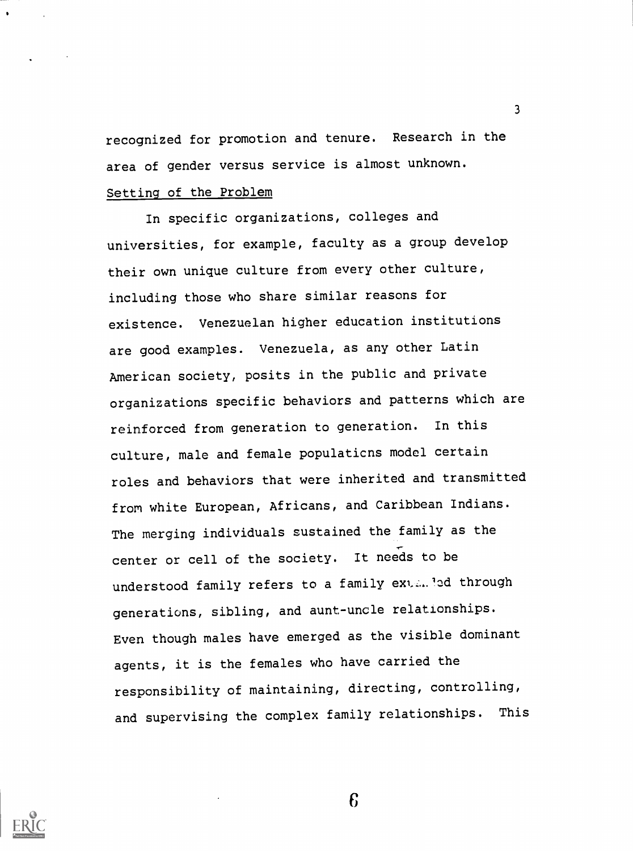recognized for promotion and tenure. Research in the area of gender versus service is almost unknown.

3

# Setting of the Problem

In specific organizations, colleges and universities, for example, faculty as a group develop their own unique culture from every other culture, including those who share similar reasons for existence. Venezuelan higher education institutions are good examples. Venezuela, as any other Latin American society, posits in the public and private organizations specific behaviors and patterns which are reinforced from generation to generation. In this culture, male and female populaticns model certain roles and behaviors that were inherited and transmitted from white European, Africans, and Caribbean Indians. The merging individuals sustained the family as the center or cell of the society. It needs to be understood family refers to a family ext...led through generations, sibling, and aunt-uncle relationships. Even though males have emerged as the visible dominant agents, it is the females who have carried the responsibility of maintaining, directing, controlling, and supervising the complex family relationships. This

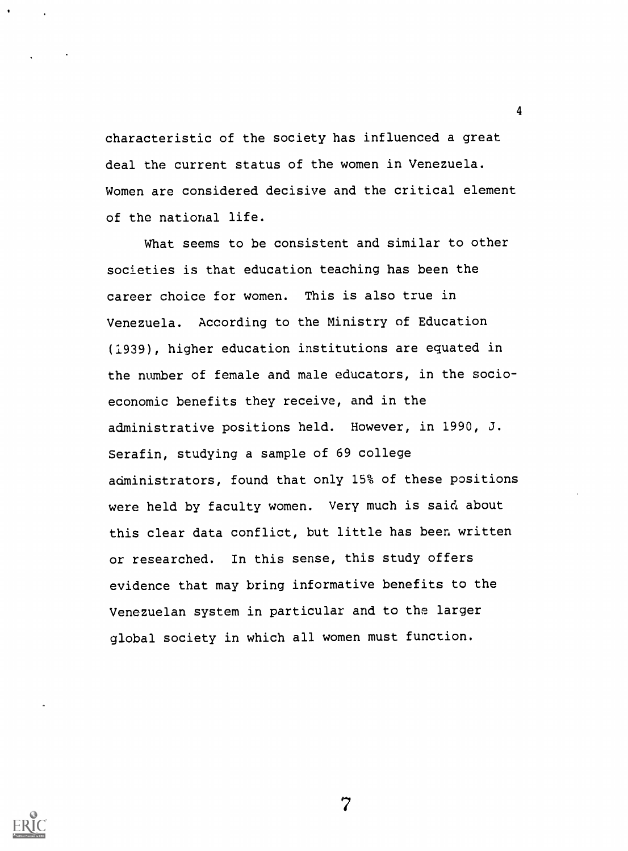characteristic of the society has influenced a great deal the current status of the women in Venezuela. Women are considered decisive and the critical element of the national life.

4

What seems to be consistent and similar to other societies is that education teaching has been the career choice for women. This is also true in Venezuela. According to the Ministry of Education (1939), higher education institutions are equated in the number of female and male educators, in the socioeconomic benefits they receive, and in the administrative positions held. However, in 1990, J. Serafin, studying a sample of 69 college administrators, found that only 15% of these positions were held by faculty women. Very much is said about this clear data conflict, but little has been written or researched. In this sense, this study offers evidence that may bring informative benefits to the Venezuelan system in particular and to the larger global society in which all women must function.

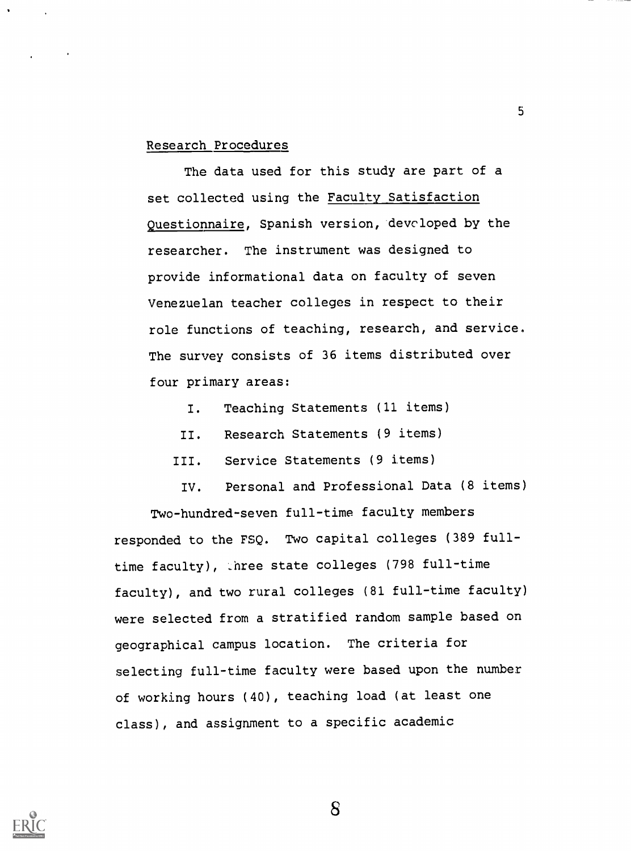## Research Procedures

The data used for this study are part of a set collected using the Faculty Satisfaction Questionnaire, Spanish version, developed by the researcher. The instrument was designed to provide informational data on faculty of seven Venezuelan teacher colleges in respect to their role functions of teaching, research, and service. The survey consists of 36 items distributed over four primary areas:

5

- I. Teaching Statements (11 items)
- II. Research Statements (9 items)
- III. Service Statements (9 items)

IV. Personal and Professional Data (8 items) Two-hundred-seven full-time faculty members

responded to the FSQ. Two capital colleges (389 fulltime faculty), \_hree state colleges (798 full-time faculty), and two rural colleges (81 full-time faculty) were selected from a stratified random sample based on geographical campus location. The criteria for selecting full-time faculty were based upon the number of working hours (40), teaching load (at least one class), and assignment to a specific academic

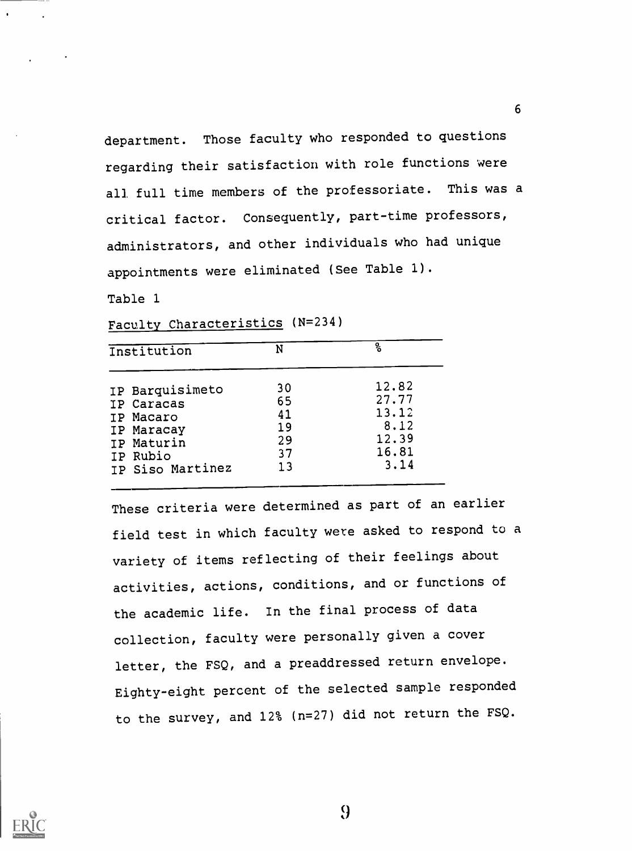department. Those faculty who responded to questions regarding their satisfaction with role functions were all full time members of the professoriate. This was a critical factor. Consequently, part-time professors, administrators, and other individuals who had unique appointments were eliminated (See Table 1).

Table 1

Faculty Characteristics (N=234)

| Institution      | N  | နွ    |  |
|------------------|----|-------|--|
| IP Barquisimeto  | 30 | 12.82 |  |
| IP Caracas       | 65 | 27.77 |  |
| IP Macaro        | 41 | 13.12 |  |
| IP Maracay       | 19 | 8.12  |  |
| IP Maturin       | 29 | 12.39 |  |
| IP Rubio         | 37 | 16.81 |  |
| IP Siso Martinez | 13 | 3.14  |  |

These criteria were determined as part of an earlier field test in which faculty were asked to respond to a variety of items reflecting of their feelings about activities, actions, conditions, and or functions of the academic life. In the final process of data collection, faculty were personally given a cover letter, the FSQ, and a preaddressed return envelope. Eighty-eight percent of the selected sample responded to the survey, and 12% (n=27) did not return the FSQ.



9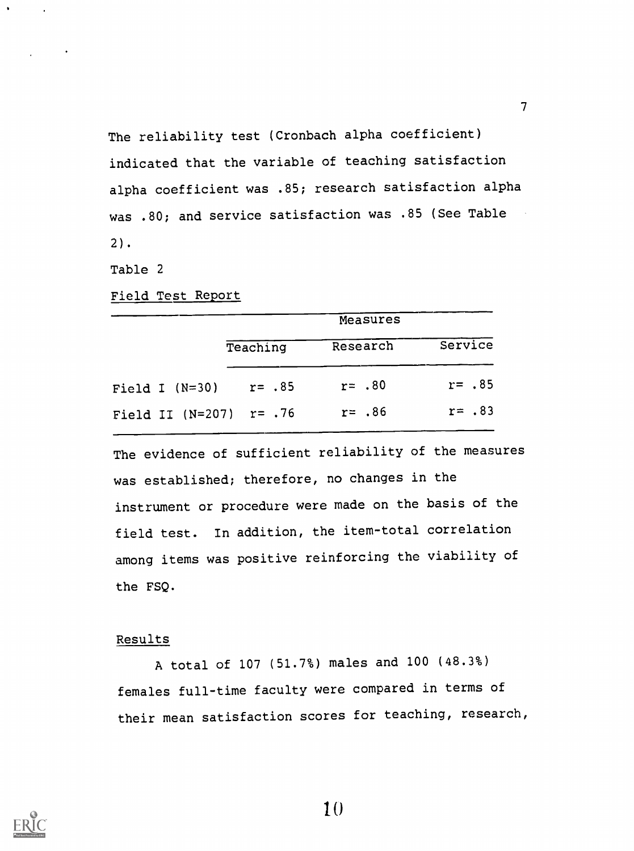The reliability test (Cronbach alpha coefficient) indicated that the variable of teaching satisfaction alpha coefficient was .85; research satisfaction alpha was .80; and service satisfaction was .85 (See Table 2).

Table 2

Field Test Report

|                           | Measures |            |            |
|---------------------------|----------|------------|------------|
|                           | Teaching | Research   | Service    |
| Field I $(N=30)$          | r= .85   | $r = 0.80$ | $r = 0.85$ |
| Field II $(N=207)$ r= .76 |          | $r = .86$  | $r = .83$  |

The evidence of sufficient reliability of the measures was established; therefore, no changes in the instrument or procedure were made on the basis of the field test. In addition, the item-total correlation among items was positive reinforcing the viability of the FSQ.

## Results

A total of 107 (51.7%) males and 100 (48.3%) females full-time faculty were compared in terms of their mean satisfaction scores for teaching, research,

 $\mathcal{T}$  and  $\mathcal{T}$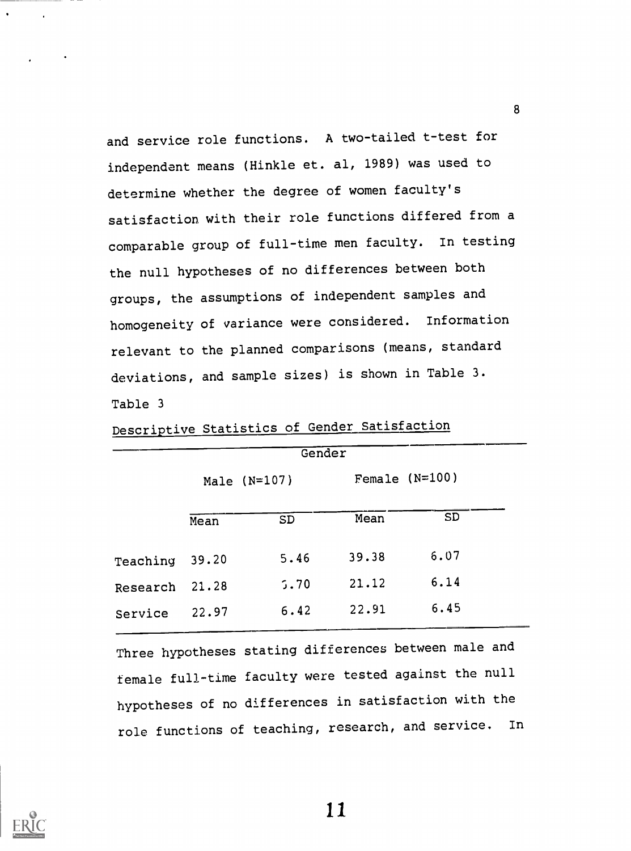and service role functions. A two-tailed t-test for independent means (Hinkle et. al, 1989) was used to determine whether the degree of women faculty's satisfaction with their role functions differed from a comparable group of full-time men faculty. In testing the null hypotheses of no differences between both groups, the assumptions of independent samples and homogeneity of variance were considered. Information relevant to the planned comparisons (means, standard deviations, and sample sizes) is shown in Table 3. Table 3

|          |                | Gender    |                  |           |
|----------|----------------|-----------|------------------|-----------|
|          | Male $(N=107)$ |           | Female $(N=100)$ |           |
|          | Mean           | <b>SD</b> | Mean             | <b>SD</b> |
| Teaching | 39.20          | 5.46      | 39.38            | 6.07      |
| Research | 21.28          | 5.70      | 21.12            | 6.14      |
| Service  | 22.97          | 6.42      | 22.91            | 6.45      |

Descriptive Statistics of Gender Satisfaction

Three hypotheses stating differences between male and female full-time faculty were tested against the null hypotheses of no differences in satisfaction with the role functions of teaching, research, and service. In



11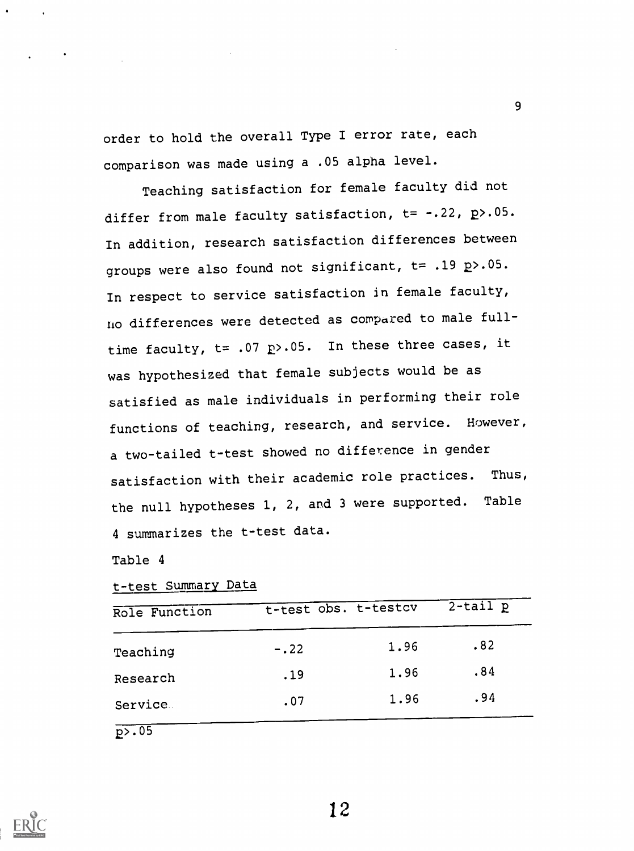order to hold the overall Type I error rate, each comparison was made using a .05 alpha level.

9

Teaching satisfaction for female faculty did not differ from male faculty satisfaction, t= -.22, p>.05. In addition, research satisfaction differences between groups were also found not significant, t= .19 p>.05. In respect to service satisfaction in female faculty, no differences were detected as compared to male fulltime faculty,  $t= .07$   $R$ >.05. In these three cases, it was hypothesized that female subjects would be as satisfied as male individuals in performing their role functions of teaching, research, and service. However, a two-tailed t-test showed no difference in gender satisfaction with their academic role practices. Thus, the null hypotheses 1, 2, and 3 were supported. Table 4 summarizes the t-test data.

Table 4

t-test Summary Data

| Role Function |        | t-test obs. t-testcv | $2$ -tail $p$ |
|---------------|--------|----------------------|---------------|
| Teaching      | $-.22$ | 1.96                 | .82           |
| Research      | .19    | 1.96                 | .84           |
| Service.      | .07    | 1.96                 | .94           |
|               |        |                      |               |

 $p$ .05

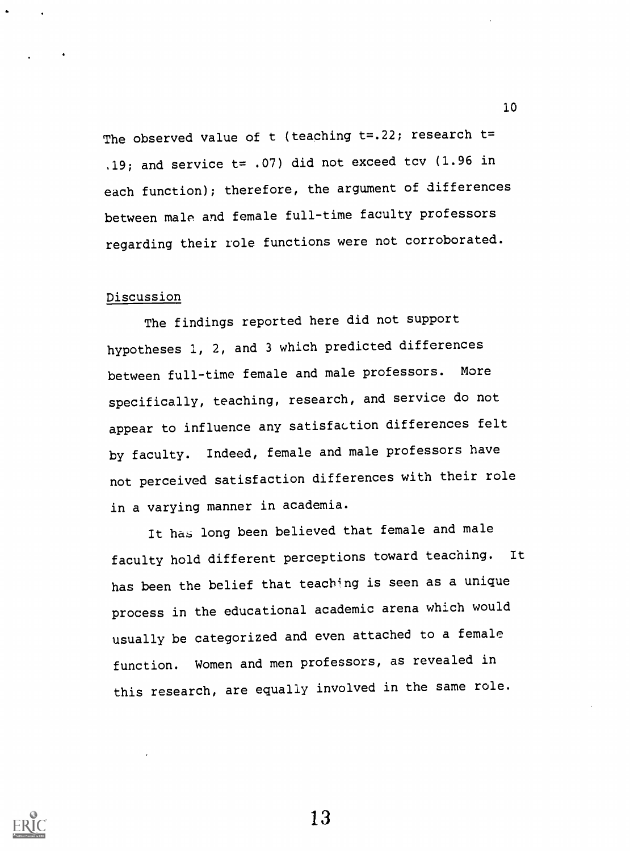The observed value of  $t$  (teaching  $t=22$ ; research  $t=$ .19; and service  $t=$  .07) did not exceed tcv (1.96 in each function); therefore, the argument of differences between male and female full-time faculty professors regarding their role functions were not corroborated.

# Discussion

The findings reported here did not support hypotheses 1, 2, and 3 which predicted differences between full-time female and male professors. More specifically, teaching, research, and service do not appear to influence any satisfaction differences felt by faculty. Indeed, female and male professors have not perceived satisfaction differences with their role in a varying manner in academia.

It has long been believed that female and male faculty hold different perceptions toward teaching. It has been the belief that teaching is seen as a unique process in the educational academic arena which would usually be categorized and even attached to a female function. Women and men professors, as revealed in this research, are equally involved in the same role.

10

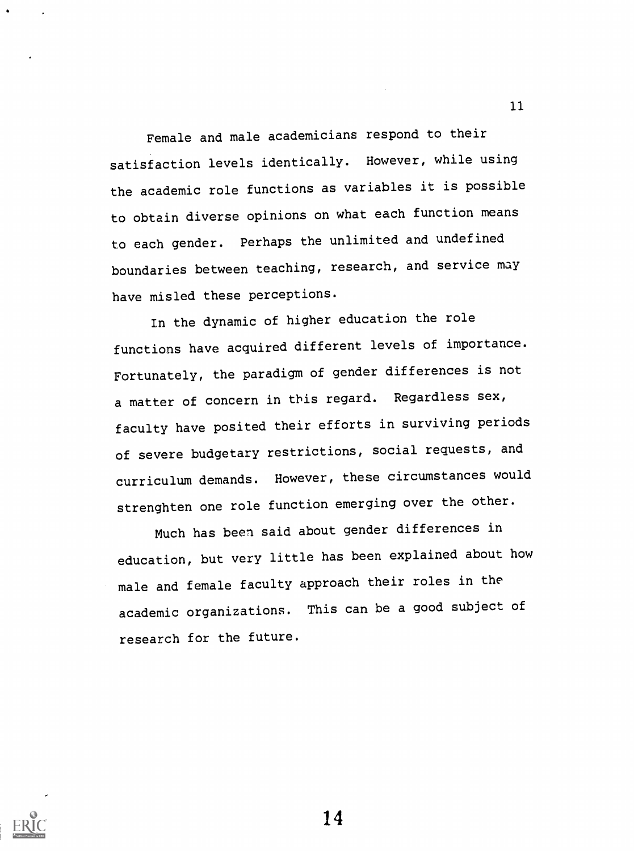Female and male academicians respond to their satisfaction levels identically. However, while using the academic role functions as variables it is possible to obtain diverse opinions on what each function means to each gender. Perhaps the unlimited and undefined boundaries between teaching, research, and service may have misled these perceptions.

In the dynamic of higher education the role functions have acquired different levels of importance. Fortunately, the paradigm of gender differences is not a matter of concern in tbis regard. Regardless sex, faculty have posited their efforts in surviving periods of severe budgetary restrictions, social requests, and curriculum demands. However, these circumstances would strenghten one role function emerging over the other.

Much has been said about gender differences in education, but very little has been explained about how male and female faculty approach their roles in the academic organizations. This can be a good subject of research for the future.



14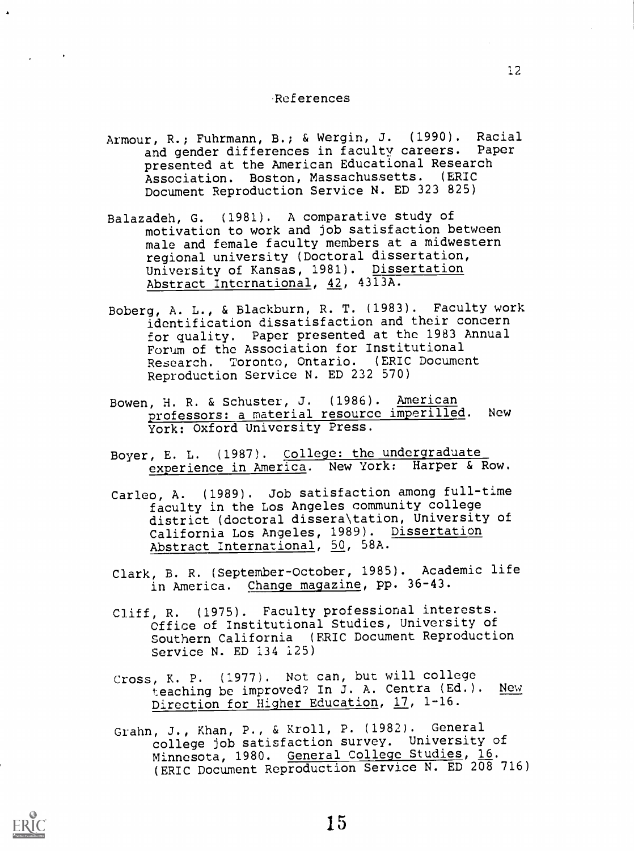## References

- Armour, R.; Fuhrmann, B.; & Wergin, J. (1990). Racial and gender differences in faculty careers. Paper presented at the American Educational Research Association. Boston, Massachussetts. (ERIC Document Reproduction Service N. ED 323 825)
- Balazadeh, G. (1981). A comparative study of motivation to work and job satisfaction between male and female faculty members at a midwestern regional university (Doctoral dissertation, University of Kansas, 1981). Dissertation Abstract International, 42, 4313A.
- Boberg, A. L., & Blackburn, R. T. (1983). Faculty work identification dissatisfaction and their concern for quality. Paper presented at the 1983 Annual Forum of the Association for Institutional Research. Toronto, Ontario. (ERIC Document Reproduction Service N. ED 232 570)
- Bowen, H. R. & Schuster, J. (1986). American professors: a material resource imperilled. New York: Oxford University Press.
- Boyer, E. L. (1987). College: the undergraduate experience in America. New York: Harper & Row.
- Carleo, A. (1989). Job satisfaction among full-time faculty in the Los Angeles community college district (doctoral dissera\tation, University of California Los Angeles, 1989). Dissertation Abstract International, 50, 58A.
- Clark, B. R. (September-October, 1985). Academic life in America. Change magazine, pp. 36-43.
- Cliff, R. (1975). Faculty professional interests. Office of Institutional Studies, University of Southern California (ERIC Document Reproduction Service N. ED 134 125)
- Cross, K. P. (1977). Not can, but will college<br>teaching be improved? In J. A. Centra (Ed.). New teaching be improved? In J. A. Centra (Ed.). Direction for Higher Education, 17, 1-16.
- Grahn, J., Khan, P., & Kroll, P. (1982). General college job satisfaction survey. University of Minnesota, 1980. General College Studies, 16. (ERIC Document Reproduction Service N. ED 208 716)

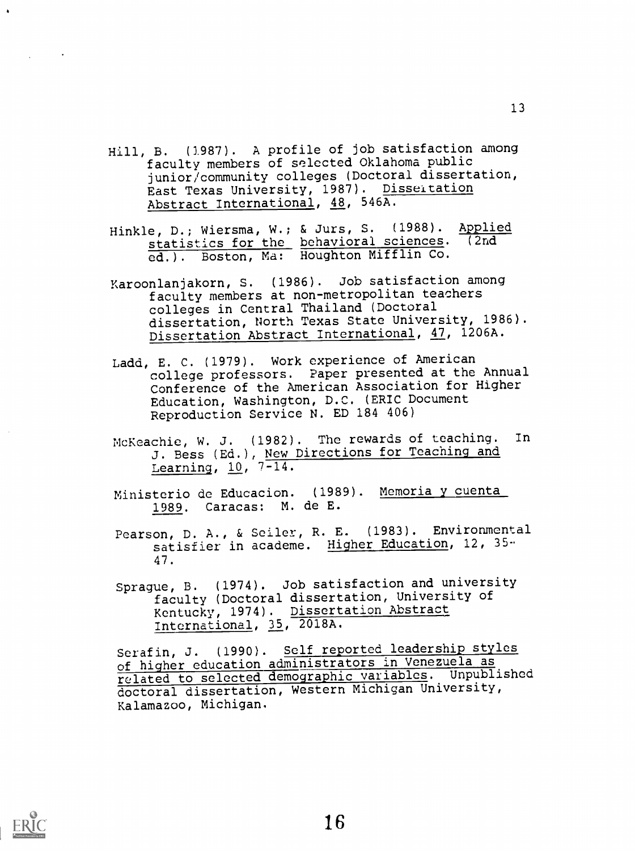- Hill, B. (1987). A profile of job satisfaction among faculty members of selected Oklahoma public junior/community colleges (Doctoral dissertation, East Texas University, 1987). Disseitation Abstract International, 48, 546A.
- Hinkle, D.; Wiersma, W.; & Jurs, S. (1988). Applied statistics for the behavioral sciences. (2nd ed.). Boston, Ma: Houghton Mifflin Co.
- Karoonlanjakorn, S. (1986). Job satisfaction among faculty members at non-metropolitan teachers colleges in Central Thailand (Doctoral dissertation, North Texas State University, 1986). Dissertation Abstract International, 47, 1206A.
- Ladd, E. C. (1979). Work experience of American college professors. Paper presented at the Annual Conference of the American Association for Higher Education, Washington, D.C. (ERIC Document Reproduction Service N. ED 184 406)
- McKeachie, W. J. (1982). The rewards of teaching. In J. Bess (Ed.), New Directions for Teaching and Learning,  $10$ ,  $7-14$ .
- Ministerio de Educacion. (1989). Memoria y cuenta 1989. Caracas: M. de E.
- Pearson, D. A., & Seiler, R. E. (1983). Environmental satisfier in academe. Higher Education, 12, 35-47.
- Sprague, B. (1974). Job satisfaction and university faculty (Doctoral dissertation, University of Kentucky, 1974). Dissertation Abstract International, 35, 2018A.

Serafin, J. (1990). Self reported leadership styles of higher education administrators in Venezuela as related to selected demographic variables. Unpublished doctoral dissertation, Western Michigan University, Kalamazoo, Michigan.